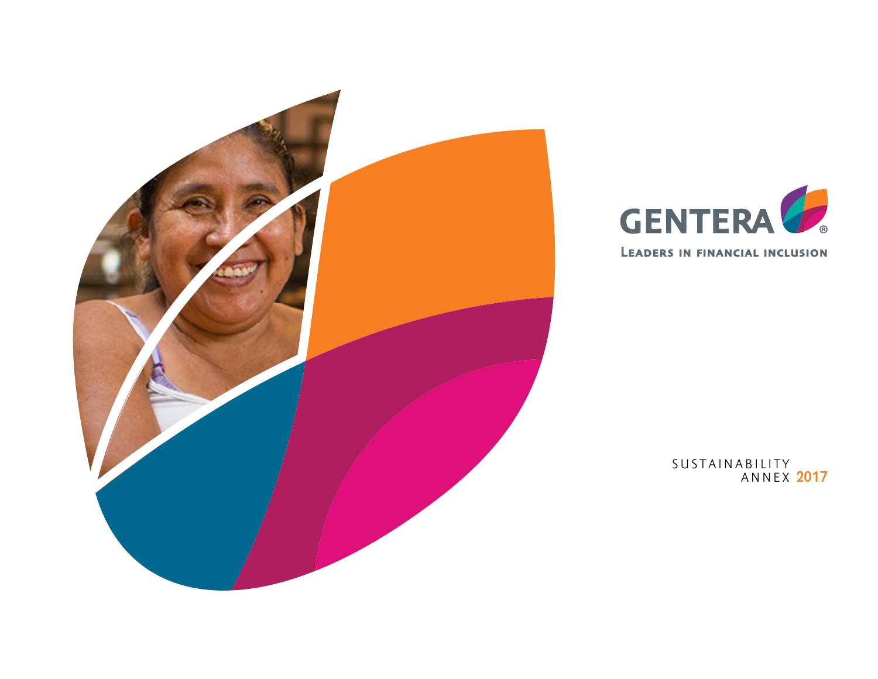



**2017** S U S T A I N A B I L I T Y ANNEX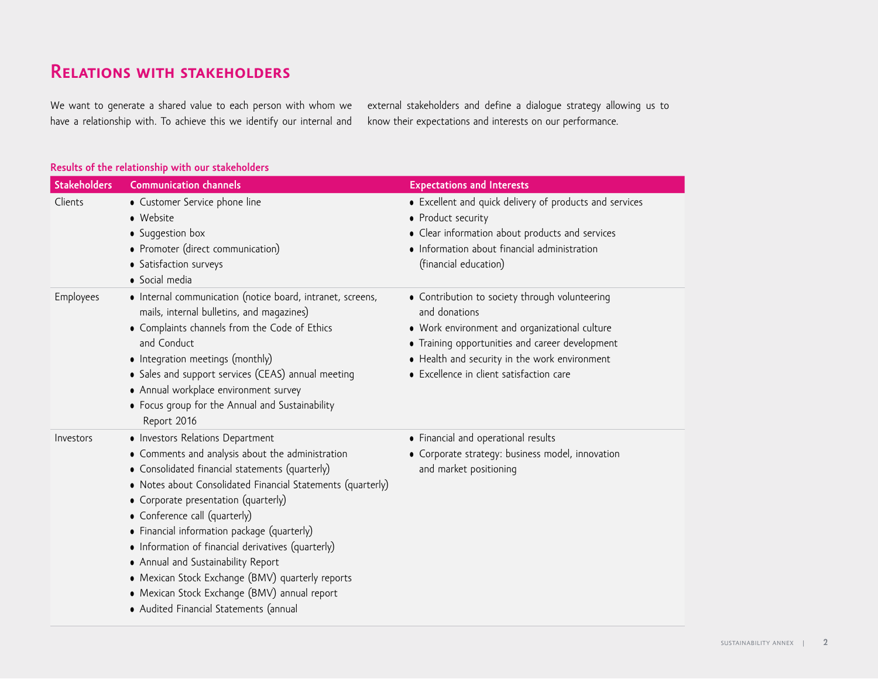## **Relations with stakeholders**

We want to generate a shared value to each person with whom we have a relationship with. To achieve this we identify our internal and external stakeholders and define a dialogue strategy allowing us to know their expectations and interests on our performance.

### **Results of the relationship with our stakeholders**

| <b>Stakeholders</b> | <b>Communication channels</b>                                                                                                                                                                                                                                                                                                                                                                                                                                                                                                                                            | <b>Expectations and Interests</b>                                                                                                                                                                                                                                |
|---------------------|--------------------------------------------------------------------------------------------------------------------------------------------------------------------------------------------------------------------------------------------------------------------------------------------------------------------------------------------------------------------------------------------------------------------------------------------------------------------------------------------------------------------------------------------------------------------------|------------------------------------------------------------------------------------------------------------------------------------------------------------------------------------------------------------------------------------------------------------------|
| Clients             | • Customer Service phone line<br>• Website<br>• Suggestion box<br>• Promoter (direct communication)<br>• Satisfaction surveys<br>· Social media                                                                                                                                                                                                                                                                                                                                                                                                                          | • Excellent and quick delivery of products and services<br>• Product security<br>• Clear information about products and services<br>• Information about financial administration<br>(financial education)                                                        |
| Employees           | • Internal communication (notice board, intranet, screens,<br>mails, internal bulletins, and magazines)<br>• Complaints channels from the Code of Ethics<br>and Conduct<br>• Integration meetings (monthly)<br>• Sales and support services (CEAS) annual meeting<br>• Annual workplace environment survey<br>• Focus group for the Annual and Sustainability<br>Report 2016                                                                                                                                                                                             | • Contribution to society through volunteering<br>and donations<br>• Work environment and organizational culture<br>• Training opportunities and career development<br>• Health and security in the work environment<br>• Excellence in client satisfaction care |
| Investors           | • Investors Relations Department<br>• Comments and analysis about the administration<br>• Consolidated financial statements (quarterly)<br>• Notes about Consolidated Financial Statements (quarterly)<br>• Corporate presentation (quarterly)<br>• Conference call (quarterly)<br>• Financial information package (quarterly)<br>• Information of financial derivatives (quarterly)<br>• Annual and Sustainability Report<br>• Mexican Stock Exchange (BMV) quarterly reports<br>• Mexican Stock Exchange (BMV) annual report<br>· Audited Financial Statements (annual | • Financial and operational results<br>• Corporate strategy: business model, innovation<br>and market positioning                                                                                                                                                |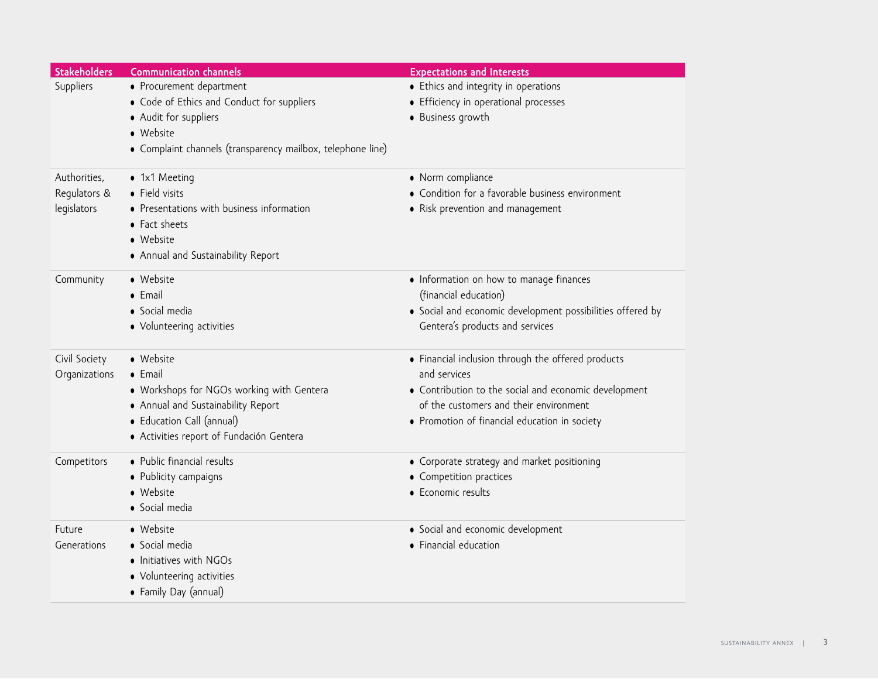| <b>Stakeholders</b> | <b>Communication channels</b>                               | <b>Expectations and Interests</b>                          |
|---------------------|-------------------------------------------------------------|------------------------------------------------------------|
| Suppliers           | • Procurement department                                    | • Ethics and integrity in operations                       |
|                     | • Code of Ethics and Conduct for suppliers                  | • Efficiency in operational processes                      |
|                     | • Audit for suppliers                                       | • Business growth                                          |
|                     | · Website                                                   |                                                            |
|                     | • Complaint channels (transparency mailbox, telephone line) |                                                            |
|                     |                                                             |                                                            |
| Authorities,        | • 1x1 Meeting                                               | • Norm compliance                                          |
| Regulators &        | · Field visits                                              | • Condition for a favorable business environment           |
| legislators         | • Presentations with business information<br>• Fact sheets  | • Risk prevention and management                           |
|                     | · Website                                                   |                                                            |
|                     | • Annual and Sustainability Report                          |                                                            |
| Community           | · Website                                                   | • Information on how to manage finances                    |
|                     | • Email                                                     | (financial education)                                      |
|                     | · Social media                                              | • Social and economic development possibilities offered by |
|                     | • Volunteering activities                                   | Gentera's products and services                            |
|                     |                                                             |                                                            |
| Civil Society       | · Website                                                   | • Financial inclusion through the offered products         |
| Organizations       | $\bullet$ Email                                             | and services                                               |
|                     | • Workshops for NGOs working with Gentera                   | • Contribution to the social and economic development      |
|                     | • Annual and Sustainability Report                          | of the customers and their environment                     |
|                     | • Education Call (annual)                                   | • Promotion of financial education in society              |
|                     | · Activities report of Fundación Gentera                    |                                                            |
| Competitors         | · Public financial results                                  | • Corporate strategy and market positioning                |
|                     | • Publicity campaigns                                       | • Competition practices                                    |
|                     | • Website                                                   | • Economic results                                         |
|                     | · Social media                                              |                                                            |
| Future              | • Website                                                   | • Social and economic development                          |
| Generations         | · Social media                                              | • Financial education                                      |
|                     | • Initiatives with NGOs                                     |                                                            |
|                     | • Volunteering activities                                   |                                                            |
|                     | • Family Day (annual)                                       |                                                            |
|                     |                                                             |                                                            |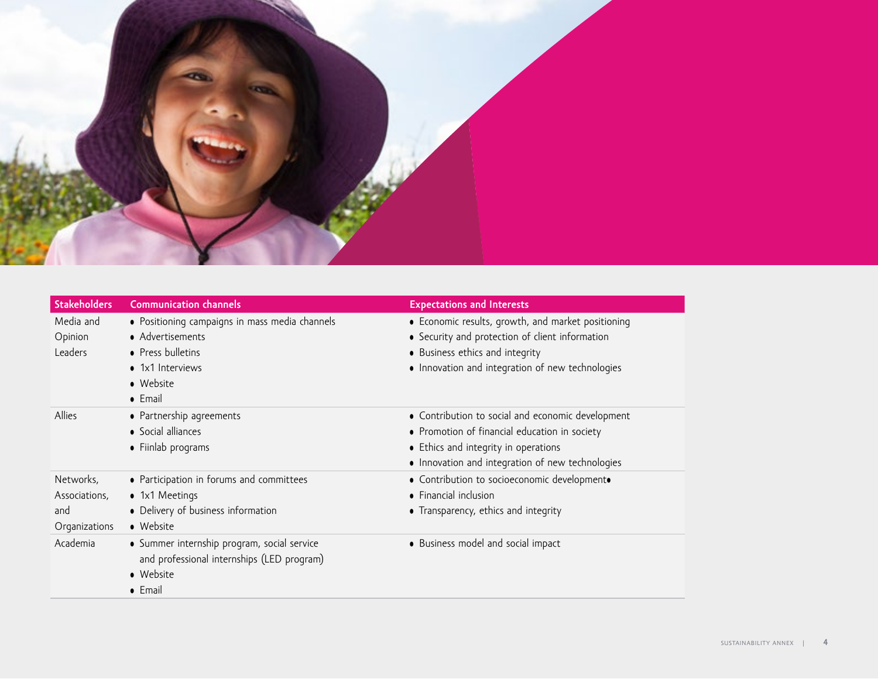

| <b>Stakeholders</b>                                | <b>Communication channels</b>                                                                                                               | <b>Expectations and Interests</b>                                                                                                                                                              |
|----------------------------------------------------|---------------------------------------------------------------------------------------------------------------------------------------------|------------------------------------------------------------------------------------------------------------------------------------------------------------------------------------------------|
| Media and<br>Opinion<br>Leaders                    | • Positioning campaigns in mass media channels<br>• Advertisements<br>• Press bulletins<br>• 1x1 Interviews<br>• Website<br>$\bullet$ Email | • Economic results, growth, and market positioning<br>• Security and protection of client information<br>• Business ethics and integrity<br>• Innovation and integration of new technologies   |
| Allies                                             | • Partnership agreements<br>• Social alliances<br>• Fiinlab programs                                                                        | • Contribution to social and economic development<br>• Promotion of financial education in society<br>• Ethics and integrity in operations<br>. Innovation and integration of new technologies |
| Networks,<br>Associations,<br>and<br>Organizations | • Participation in forums and committees<br>• 1x1 Meetings<br>• Delivery of business information<br>• Website                               | • Contribution to socioeconomic developmento<br>• Financial inclusion<br>• Transparency, ethics and integrity                                                                                  |
| Academia                                           | • Summer internship program, social service<br>and professional internships (LED program)<br>• Website<br>• Email                           | • Business model and social impact                                                                                                                                                             |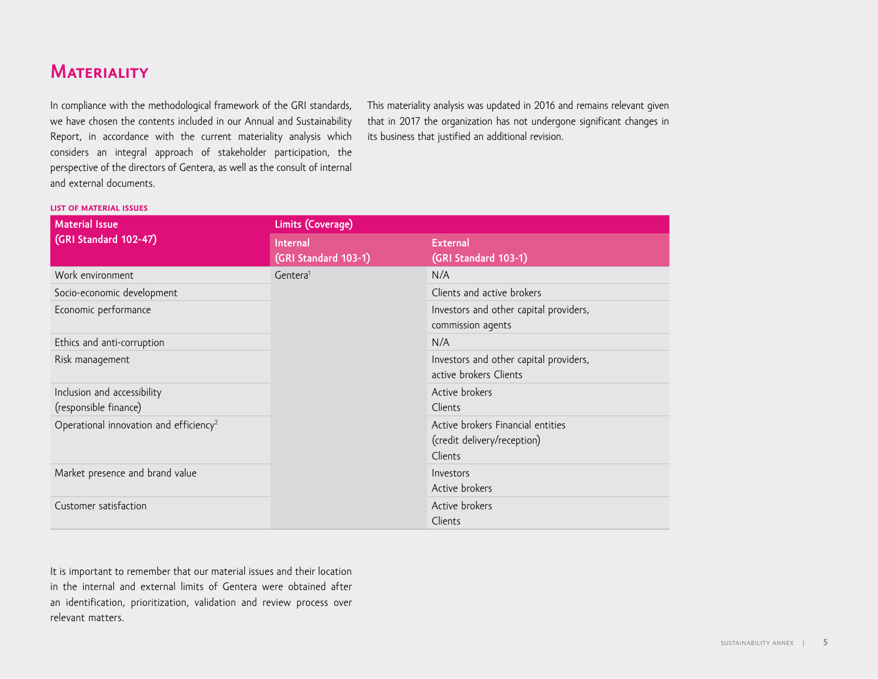## **Materiality**

In compliance with the methodological framework of the GRI standards, we have chosen the contents included in our Annual and Sustainability Report, in accordance with the current materiality analysis which considers an integral approach of stakeholder participation, the perspective of the directors of Gentera, as well as the consult of internal and external documents.

This materiality analysis was updated in 2016 and remains relevant given that in 2017 the organization has not undergone significant changes in its business that justified an additional revision.

#### **list of material issues**

| <b>Material Issue</b>                                | Limits (Coverage)                       |                                                                             |  |
|------------------------------------------------------|-----------------------------------------|-----------------------------------------------------------------------------|--|
| (GRI Standard 102-47)                                | <b>Internal</b><br>(GRI Standard 103-1) | <b>External</b><br>(GRI Standard 103-1)                                     |  |
| Work environment                                     | Gentera <sup>1</sup>                    | N/A                                                                         |  |
| Socio-economic development                           |                                         | Clients and active brokers                                                  |  |
| Economic performance                                 |                                         | Investors and other capital providers,<br>commission agents                 |  |
| Ethics and anti-corruption                           |                                         | N/A                                                                         |  |
| Risk management                                      |                                         | Investors and other capital providers,<br>active brokers Clients            |  |
| Inclusion and accessibility<br>(responsible finance) |                                         | Active brokers<br>Clients                                                   |  |
| Operational innovation and efficiency <sup>2</sup>   |                                         | Active brokers Financial entities<br>(credit delivery/reception)<br>Clients |  |
| Market presence and brand value                      |                                         | Investors<br>Active brokers                                                 |  |
| Customer satisfaction                                |                                         | Active brokers<br>Clients                                                   |  |

It is important to remember that our material issues and their location in the internal and external limits of Gentera were obtained after an identification, prioritization, validation and review process over relevant matters.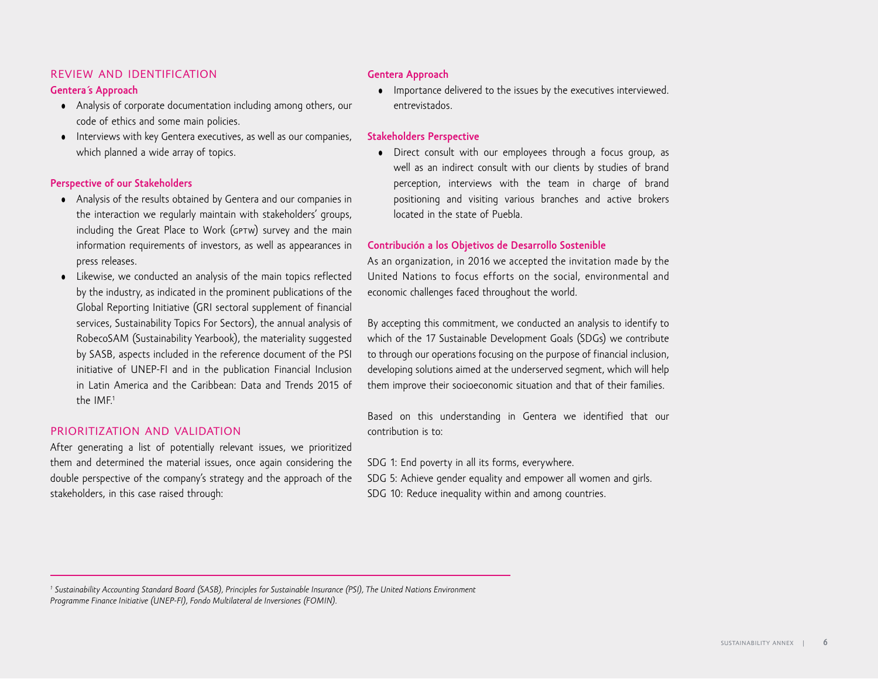#### review and identification

#### **Gentera´s Approach**

- Analysis of corporate documentation including among others, our code of ethics and some main policies.
- Interviews with key Gentera executives, as well as our companies, which planned a wide array of topics.

#### **Perspective of our Stakeholders**

- Analysis of the results obtained by Gentera and our companies in the interaction we regularly maintain with stakeholders' groups, including the Great Place to Work (GPTW) survey and the main information requirements of investors, as well as appearances in press releases.
- Likewise, we conducted an analysis of the main topics reflected by the industry, as indicated in the prominent publications of the Global Reporting Initiative (GRI sectoral supplement of financial services, Sustainability Topics For Sectors), the annual analysis of RobecoSAM (Sustainability Yearbook), the materiality suggested by SASB, aspects included in the reference document of the PSI initiative of UNEP-FI and in the publication Financial Inclusion in Latin America and the Caribbean: Data and Trends 2015 of the IMF.<sup>1</sup>

#### prioritization and validation

After generating a list of potentially relevant issues, we prioritized them and determined the material issues, once again considering the double perspective of the company's strategy and the approach of the stakeholders, in this case raised through:

### **Gentera Approach**

• Importance delivered to the issues by the executives interviewed. entrevistados.

#### **Stakeholders Perspective**

• Direct consult with our employees through a focus group, as well as an indirect consult with our clients by studies of brand perception, interviews with the team in charge of brand positioning and visiting various branches and active brokers located in the state of Puebla.

#### **Contribución a los Objetivos de Desarrollo Sostenible**

As an organization, in 2016 we accepted the invitation made by the United Nations to focus efforts on the social, environmental and economic challenges faced throughout the world.

By accepting this commitment, we conducted an analysis to identify to which of the 17 Sustainable Development Goals (SDGs) we contribute to through our operations focusing on the purpose of financial inclusion, developing solutions aimed at the underserved segment, which will help them improve their socioeconomic situation and that of their families.

Based on this understanding in Gentera we identified that our contribution is to:

SDG 1: End poverty in all its forms, everywhere.

SDG 5: Achieve gender equality and empower all women and girls. SDG 10: Reduce inequality within and among countries.

*1 Sustainability Accounting Standard Board (SASB), Principles for Sustainable Insurance (PSI), The United Nations Environment Programme Finance Initiative (UNEP-FI), Fondo Multilateral de Inversiones (FOMIN).*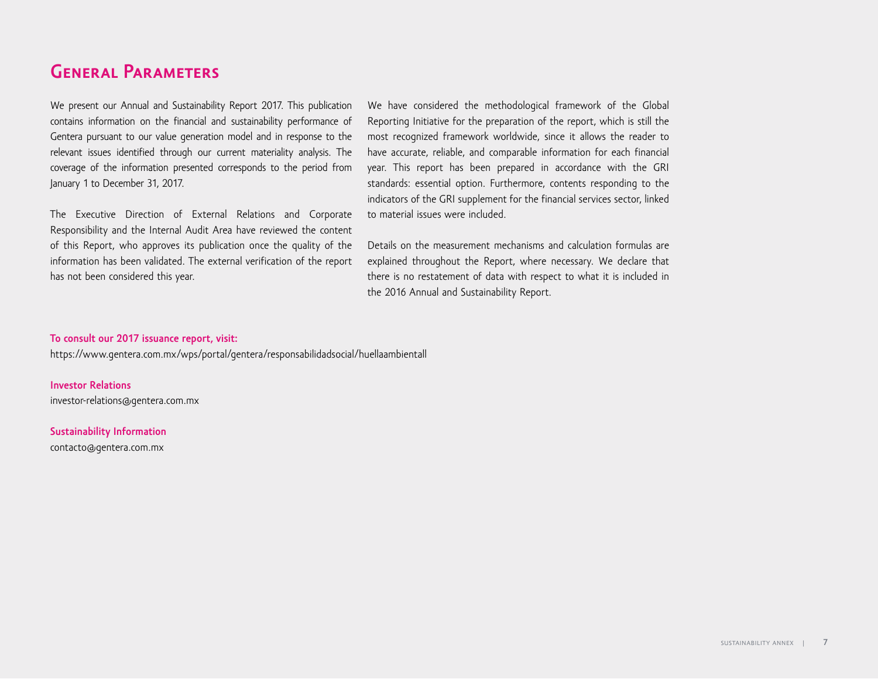# **General Parameters**

We present our Annual and Sustainability Report 2017. This publication contains information on the financial and sustainability performance of Gentera pursuant to our value generation model and in response to the relevant issues identified through our current materiality analysis. The coverage of the information presented corresponds to the period from January 1 to December 31, 2017.

The Executive Direction of External Relations and Corporate Responsibility and the Internal Audit Area have reviewed the content of this Report, who approves its publication once the quality of the information has been validated. The external verification of the report has not been considered this year.

We have considered the methodological framework of the Global Reporting Initiative for the preparation of the report, which is still the most recognized framework worldwide, since it allows the reader to have accurate, reliable, and comparable information for each financial year. This report has been prepared in accordance with the GRI standards: essential option. Furthermore, contents responding to the indicators of the GRI supplement for the financial services sector, linked to material issues were included.

Details on the measurement mechanisms and calculation formulas are explained throughout the Report, where necessary. We declare that there is no restatement of data with respect to what it is included in the 2016 Annual and Sustainability Report.

#### **To consult our 2017 issuance report, visit:**

https://www.gentera.com.mx/wps/portal/gentera/responsabilidadsocial/huellaambientall

**Investor Relations** investor-relations@gentera.com.mx

**Sustainability Information** contacto@gentera.com.mx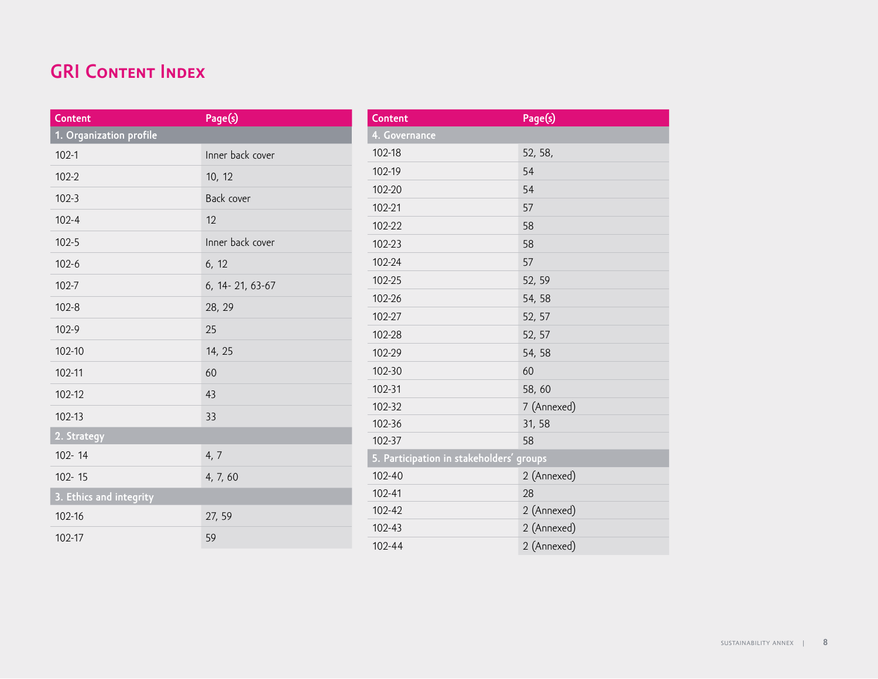# **GRI CONTENT INDEX**

| Content                 | Page(s)             |
|-------------------------|---------------------|
| 1. Organization profile |                     |
| $102 - 1$               | Inner back cover    |
| $102 - 2$               | 10, 12              |
| $102 - 3$               | Back cover          |
| $102 - 4$               | 12                  |
| $102 - 5$               | Inner back cover    |
| $102 - 6$               | 6, 12               |
| $102 - 7$               | 6, 14 - 21, 63 - 67 |
| $102 - 8$               | 28, 29              |
| $102 - 9$               | 25                  |
| 102-10                  | 14, 25              |
| 102-11                  | 60                  |
| 102-12                  | 43                  |
| 102-13                  | 33                  |
| 2. Strategy             |                     |
| 102-14                  | 4, 7                |
| $102 - 15$              | 4, 7, 60            |
| 3. Ethics and integrity |                     |
| 102-16                  | 27, 59              |
| 102-17                  | 59                  |

| Content                                  | Page(s)     |
|------------------------------------------|-------------|
| 4. Governance                            |             |
| 102-18                                   | 52, 58,     |
| 102-19                                   | 54          |
| 102-20                                   | 54          |
| 102-21                                   | 57          |
| 102-22                                   | 58          |
| 102-23                                   | 58          |
| 102-24                                   | 57          |
| 102-25                                   | 52, 59      |
| 102-26                                   | 54, 58      |
| 102-27                                   | 52, 57      |
| 102-28                                   | 52, 57      |
| 102-29                                   | 54, 58      |
| 102-30                                   | 60          |
| 102-31                                   | 58,60       |
| 102-32                                   | 7 (Annexed) |
| 102-36                                   | 31, 58      |
| 102-37                                   | 58          |
| 5. Participation in stakeholders' groups |             |
| 102-40                                   | 2 (Annexed) |
| 102-41                                   | 28          |
| 102-42                                   | 2 (Annexed) |
| 102-43                                   | 2 (Annexed) |
| $102 - 44$                               | 2 (Annexed) |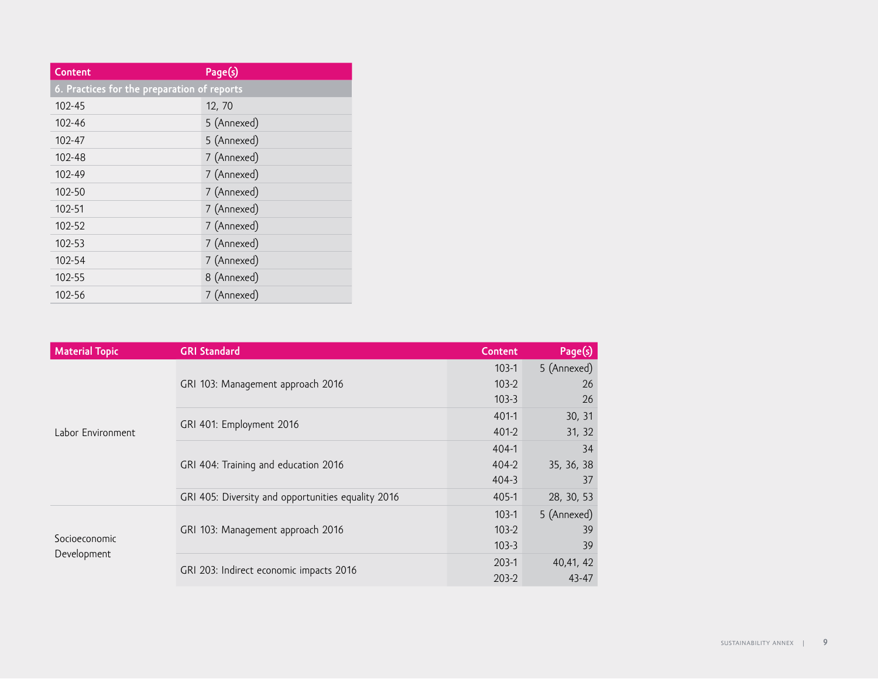| <b>Content</b>                              | Page(s)     |  |
|---------------------------------------------|-------------|--|
| 6. Practices for the preparation of reports |             |  |
| $102 - 45$                                  | 12, 70      |  |
| 102-46                                      | 5 (Annexed) |  |
| 102-47                                      | 5 (Annexed) |  |
| 102-48                                      | 7 (Annexed) |  |
| 102-49                                      | 7 (Annexed) |  |
| 102-50                                      | 7 (Annexed) |  |
| 102-51                                      | 7 (Annexed) |  |
| 102-52                                      | 7 (Annexed) |  |
| 102-53                                      | 7 (Annexed) |  |
| 102-54                                      | 7 (Annexed) |  |
| 102-55                                      | 8 (Annexed) |  |
| 102-56                                      | 7 (Annexed) |  |

| <b>Material Topic</b> | <b>GRI Standard</b>                                | <b>Content</b> | Page(s)     |
|-----------------------|----------------------------------------------------|----------------|-------------|
|                       | GRI 103: Management approach 2016                  | $103-1$        | 5 (Annexed) |
|                       |                                                    | $103-2$        | 26          |
|                       |                                                    | $103 - 3$      | 26          |
|                       |                                                    | $401-1$        | 30, 31      |
| Labor Environment     | GRI 401: Employment 2016                           | $401 - 2$      | 31, 32      |
|                       | GRI 404: Training and education 2016               | $404-1$        | 34          |
|                       |                                                    | $404 - 2$      | 35, 36, 38  |
|                       |                                                    | 404-3          | 37          |
|                       | GRI 405: Diversity and opportunities equality 2016 | $405 - 1$      | 28, 30, 53  |
|                       | GRI 103: Management approach 2016                  | $103-1$        | 5 (Annexed) |
|                       |                                                    | $103-2$        | 39          |
| Socioeconomic         |                                                    | $103-3$        | 39          |
| Development           |                                                    | $203-1$        | 40,41, 42   |
|                       | GRI 203: Indirect economic impacts 2016            | $203-2$        | $43 - 47$   |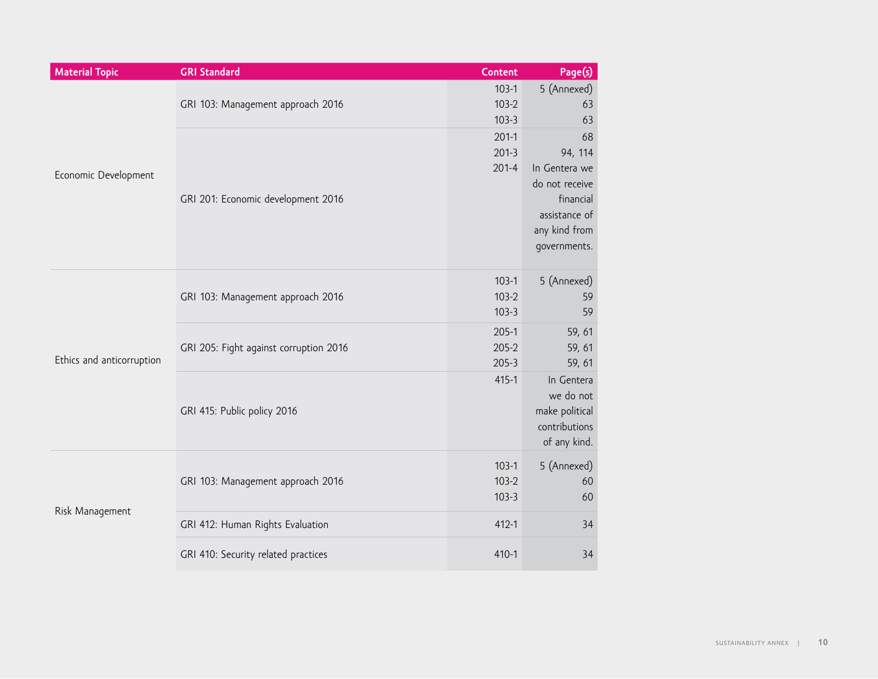| <b>Material Topic</b>     | <b>GRI Standard</b>                    | <b>Content</b>                    | Page(s)                                                                                                         |
|---------------------------|----------------------------------------|-----------------------------------|-----------------------------------------------------------------------------------------------------------------|
| Economic Development      | GRI 103: Management approach 2016      | $103-1$<br>$103-2$<br>$103-3$     | 5 (Annexed)<br>63<br>63                                                                                         |
|                           | GRI 201: Economic development 2016     | $201-1$<br>$201-3$<br>$201 - 4$   | 68<br>94, 114<br>In Gentera we<br>do not receive<br>financial<br>assistance of<br>any kind from<br>governments. |
|                           | GRI 103: Management approach 2016      | $103-1$<br>$103-2$<br>$103-3$     | 5 (Annexed)<br>59<br>59                                                                                         |
| Ethics and anticorruption | GRI 205: Fight against corruption 2016 | $205-1$<br>$205 - 2$<br>$205 - 3$ | 59, 61<br>59, 61<br>59, 61                                                                                      |
|                           | GRI 415: Public policy 2016            | $415 - 1$                         | In Gentera<br>we do not<br>make political<br>contributions<br>of any kind.                                      |
|                           | GRI 103: Management approach 2016      | $103-1$<br>$103-2$<br>$103-3$     | 5 (Annexed)<br>60<br>60                                                                                         |
| Risk Management           | GRI 412: Human Rights Evaluation       | $412 - 1$                         | 34                                                                                                              |
|                           | GRI 410: Security related practices    | $410 - 1$                         | 34                                                                                                              |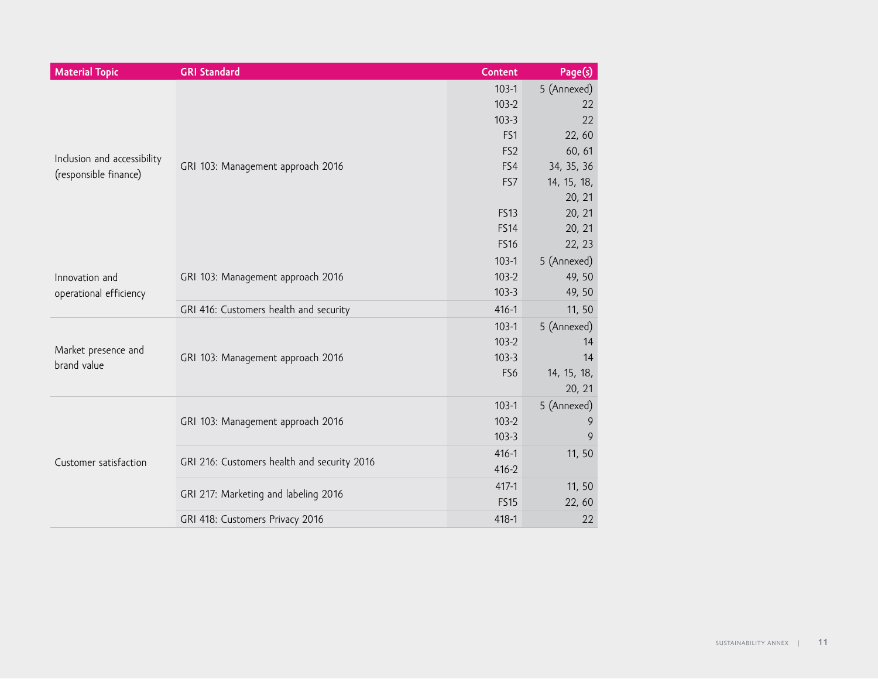| <b>Material Topic</b>       | <b>GRI Standard</b>                         | <b>Content</b>             | Page(s)          |
|-----------------------------|---------------------------------------------|----------------------------|------------------|
|                             |                                             | $103-1$                    | 5 (Annexed)      |
|                             |                                             | $103-2$                    | 22               |
|                             |                                             | $103-3$                    | 22               |
|                             |                                             | FS1                        | 22,60            |
| Inclusion and accessibility |                                             | FS <sub>2</sub>            | 60, 61           |
| (responsible finance)       | GRI 103: Management approach 2016           | FS4                        | 34, 35, 36       |
|                             |                                             | FS7                        | 14, 15, 18,      |
|                             |                                             |                            | 20, 21           |
|                             |                                             | <b>FS13</b>                | 20, 21           |
|                             |                                             | <b>FS14</b><br><b>FS16</b> | 20, 21<br>22, 23 |
|                             |                                             | $103-1$                    | 5 (Annexed)      |
| Innovation and              |                                             | $103-2$                    | 49, 50           |
| operational efficiency      | GRI 103: Management approach 2016           | $103-3$                    | 49, 50           |
|                             | GRI 416: Customers health and security      | $416 - 1$                  | 11, 50           |
|                             |                                             | $103-1$                    | 5 (Annexed)      |
|                             | GRI 103: Management approach 2016           | $103-2$                    | 14               |
| Market presence and         |                                             | $103-3$                    | 14               |
| brand value                 |                                             | FS6                        | 14, 15, 18,      |
|                             |                                             |                            | 20, 21           |
|                             | GRI 103: Management approach 2016           | $103-1$                    | 5 (Annexed)      |
|                             |                                             | $103-2$                    | 9                |
|                             |                                             | $103-3$                    | 9                |
| Customer satisfaction       | GRI 216: Customers health and security 2016 | $416 - 1$                  | 11,50            |
|                             |                                             | $416 - 2$                  |                  |
|                             | GRI 217: Marketing and labeling 2016        | $417 - 1$                  | 11,50            |
|                             |                                             | <b>FS15</b>                | 22,60            |
|                             | GRI 418: Customers Privacy 2016             | 418-1                      | 22               |